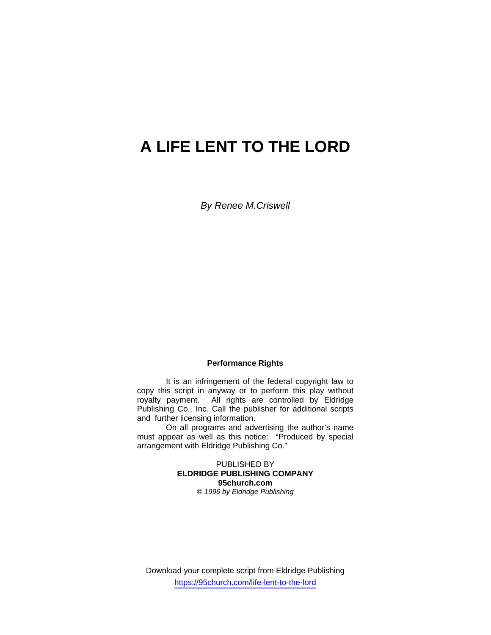# **A LIFE LENT TO THE LORD**

*By Renee M.Criswell* 

# **Performance Rights**

 It is an infringement of the federal copyright law to copy this script in anyway or to perform this play without royalty payment. All rights are controlled by Eldridge Publishing Co., Inc. Call the publisher for additional scripts and further licensing information.

 On all programs and advertising the author's name must appear as well as this notice: "Produced by special arrangement with Eldridge Publishing Co."

> PUBLISHED BY **ELDRIDGE PUBLISHING COMPANY 95church.com**  *© 1996 by Eldridge Publishing*

Download your complete script from Eldridge Publishing https://95church.com/life-lent-to-the-lord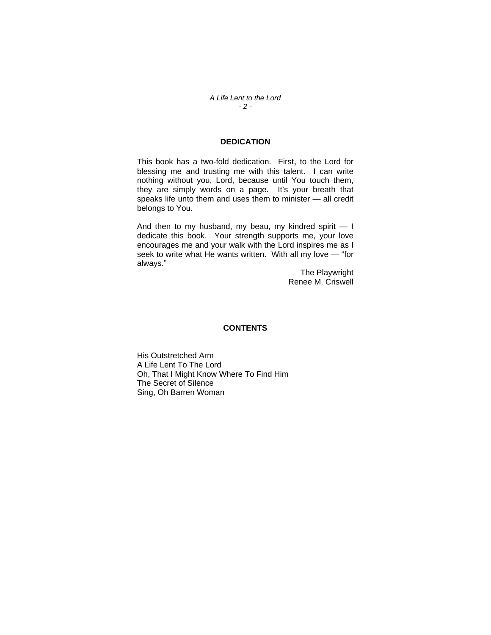*A Life Lent to the Lord - 2 -* 

# **DEDICATION**

This book has a two-fold dedication. First, to the Lord for blessing me and trusting me with this talent. I can write nothing without you, Lord, because until You touch them, they are simply words on a page. It's your breath that speaks life unto them and uses them to minister — all credit belongs to You.

And then to my husband, my beau, my kindred spirit  $-1$ dedicate this book. Your strength supports me, your love encourages me and your walk with the Lord inspires me as I seek to write what He wants written. With all my love - "for always."

> The Playwright Renee M. Criswell

#### **CONTENTS**

His Outstretched Arm A Life Lent To The Lord Oh, That I Might Know Where To Find Him The Secret of Silence Sing, Oh Barren Woman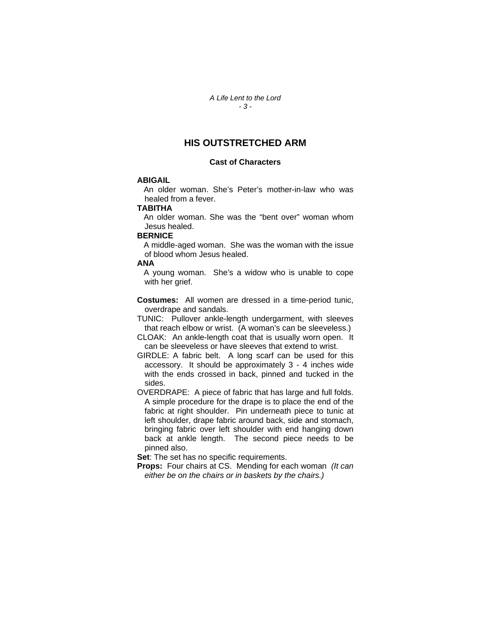*A Life Lent to the Lord - 3 -* 

# **HIS OUTSTRETCHED ARM**

#### **Cast of Characters**

## **ABIGAIL**

 An older woman. She's Peter's mother-in-law who was healed from a fever.

#### **TABITHA**

 An older woman. She was the "bent over" woman whom Jesus healed.

### **BERNICE**

 A middle-aged woman. She was the woman with the issue of blood whom Jesus healed.

#### **ANA**

 A young woman. She's a widow who is unable to cope with her grief.

**Costumes:** All women are dressed in a time-period tunic, overdrape and sandals.

TUNIC: Pullover ankle-length undergarment, with sleeves that reach elbow or wrist. (A woman's can be sleeveless.)

CLOAK: An ankle-length coat that is usually worn open. It can be sleeveless or have sleeves that extend to wrist.

GIRDLE: A fabric belt. A long scarf can be used for this accessory. It should be approximately 3 - 4 inches wide with the ends crossed in back, pinned and tucked in the sides.

OVERDRAPE: A piece of fabric that has large and full folds. A simple procedure for the drape is to place the end of the fabric at right shoulder. Pin underneath piece to tunic at left shoulder, drape fabric around back, side and stomach, bringing fabric over left shoulder with end hanging down back at ankle length. The second piece needs to be pinned also.

**Set:** The set has no specific requirements.

**Props:** Four chairs at CS. Mending for each woman *(It can either be on the chairs or in baskets by the chairs.)*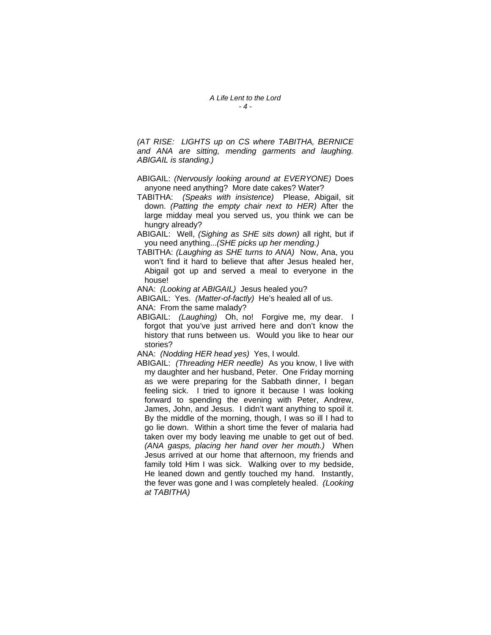*(AT RISE: LIGHTS up on CS where TABITHA, BERNICE and ANA are sitting, mending garments and laughing. ABIGAIL is standing.)* 

- ABIGAIL: *(Nervously looking around at EVERYONE)* Does anyone need anything? More date cakes? Water?
- TABITHA: *(Speaks with insistence)* Please, Abigail, sit down. *(Patting the empty chair next to HER)* After the large midday meal you served us, you think we can be hungry already?
- ABIGAIL:Well, *(Sighing as SHE sits down)* all right, but if you need anything...*(SHE picks up her mending.)*
- TABITHA: *(Laughing as SHE turns to ANA)* Now, Ana, you won't find it hard to believe that after Jesus healed her, Abigail got up and served a meal to everyone in the house!
- ANA: *(Looking at ABIGAIL)* Jesus healed you?
- ABIGAIL: Yes. *(Matter-of-factly)* He's healed all of us. ANA: From the same malady?
- ABIGAIL: *(Laughing)* Oh, no! Forgive me, my dear. I forgot that you've just arrived here and don't know the history that runs between us. Would you like to hear our stories?
- ANA: *(Nodding HER head yes)* Yes, I would.
- ABIGAIL: *(Threading HER needle)* As you know, I live with my daughter and her husband, Peter. One Friday morning as we were preparing for the Sabbath dinner, I began feeling sick. I tried to ignore it because I was looking forward to spending the evening with Peter, Andrew, James, John, and Jesus. I didn't want anything to spoil it. By the middle of the morning, though, I was so ill I had to go lie down. Within a short time the fever of malaria had taken over my body leaving me unable to get out of bed. *(ANA gasps, placing her hand over her mouth.)* When Jesus arrived at our home that afternoon, my friends and family told Him I was sick. Walking over to my bedside, He leaned down and gently touched my hand. Instantly, the fever was gone and I was completely healed. *(Looking at TABITHA)*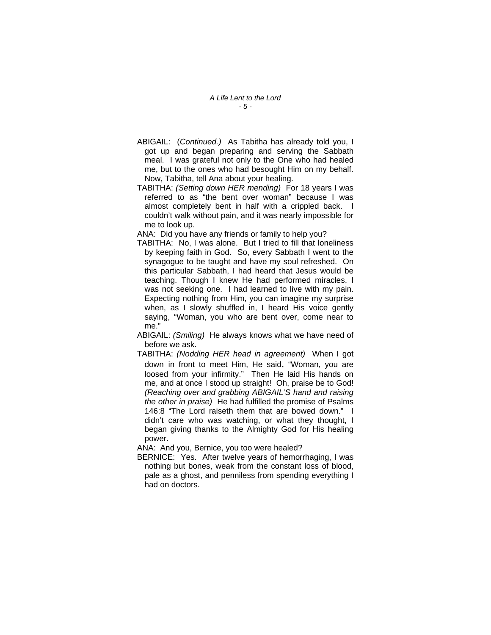*A Life Lent to the Lord - 5 -* 

- ABIGAIL: (*Continued.)* As Tabitha has already told you, I got up and began preparing and serving the Sabbath meal. I was grateful not only to the One who had healed me, but to the ones who had besought Him on my behalf. Now, Tabitha, tell Ana about your healing.
- TABITHA: *(Setting down HER mending)* For 18 years I was referred to as "the bent over woman" because I was almost completely bent in half with a crippled back. I couldn't walk without pain, and it was nearly impossible for me to look up.

ANA: Did you have any friends or family to help you?

TABITHA: No, I was alone. But I tried to fill that loneliness by keeping faith in God. So, every Sabbath I went to the synagogue to be taught and have my soul refreshed. On this particular Sabbath, I had heard that Jesus would be teaching. Though I knew He had performed miracles, I was not seeking one. I had learned to live with my pain. Expecting nothing from Him, you can imagine my surprise when, as I slowly shuffled in, I heard His voice gently saying, "Woman, you who are bent over, come near to me."

ABIGAIL: *(Smiling)* He always knows what we have need of before we ask.

TABITHA: *(Nodding HER head in agreement)* When I got down in front to meet Him, He said, "Woman, you are loosed from your infirmity." Then He laid His hands on me, and at once I stood up straight! Oh, praise be to God! *(Reaching over and grabbing ABIGAIL'S hand and raising the other in praise)* He had fulfilled the promise of Psalms 146:8 "The Lord raiseth them that are bowed down." I didn't care who was watching, or what they thought, I began giving thanks to the Almighty God for His healing power.

ANA: And you, Bernice, you too were healed?

BERNICE: Yes. After twelve years of hemorrhaging, I was nothing but bones, weak from the constant loss of blood, pale as a ghost, and penniless from spending everything I had on doctors.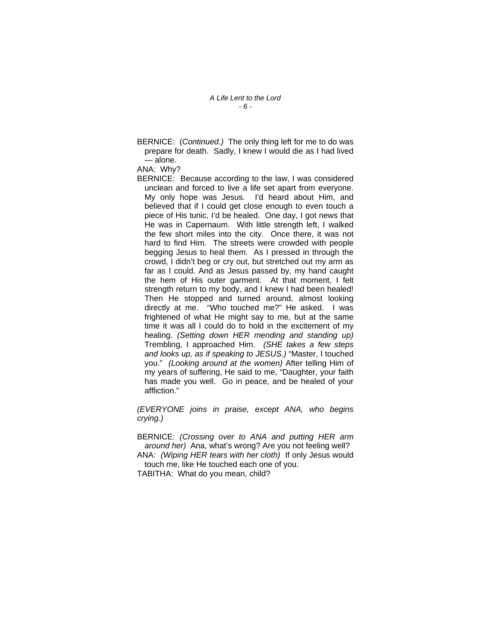BERNICE: (*Continued.)* The only thing left for me to do was prepare for death. Sadly, I knew I would die as I had lived — alone.

#### ANA: Why?

BERNICE: Because according to the law, I was considered unclean and forced to live a life set apart from everyone. My only hope was Jesus. I'd heard about Him, and believed that if I could get close enough to even touch a piece of His tunic, I'd be healed. One day, I got news that He was in Capernaum. With little strength left, I walked the few short miles into the city. Once there, it was not hard to find Him. The streets were crowded with people begging Jesus to heal them. As I pressed in through the crowd, I didn't beg or cry out, but stretched out my arm as far as I could. And as Jesus passed by, my hand caught the hem of His outer garment. At that moment, I felt strength return to my body, and I knew I had been healed! Then He stopped and turned around, almost looking directly at me. "Who touched me?" He asked. I was frightened of what He might say to me, but at the same time it was all I could do to hold in the excitement of my healing. *(Setting down HER mending and standing up)* Trembling, I approached Him. *(SHE takes a few steps and looks up, as if speaking to JESUS.)* "Master, I touched you." *(Looking around at the women)* After telling Him of my years of suffering, He said to me, "Daughter, your faith has made you well. Go in peace, and be healed of your affliction."

*(EVERYONE joins in praise, except ANA, who begins crying.)*

BERNICE: *(Crossing over to ANA and putting HER arm around her)* Ana, what's wrong? Are you not feeling well? ANA: *(Wiping HER tears with her cloth)* If only Jesus would touch me, like He touched each one of you.

TABITHA: What do you mean, child?